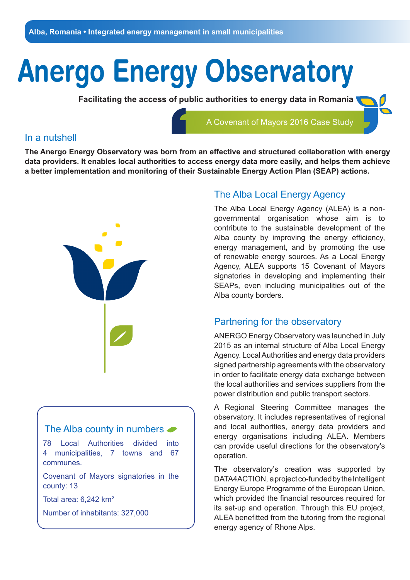# **Anergo Energy Observatory**

**Facilitating the access of public authorities to energy data in Romania** 



### In a nutshell

**The Anergo Energy Observatory was born from an effective and structured collaboration with energy data providers. It enables local authorities to access energy data more easily, and helps them achieve a better implementation and monitoring of their Sustainable Energy Action Plan (SEAP) actions.**



## The Alba county in numbers  $\bullet$ 78 Local Authorities divided into 4 municipalities, 7 towns and 67 communes. Covenant of Mayors signatories in the county: 13

Total area: 6,242 km²

Number of inhabitants: 327,000

## The Alba Local Energy Agency

The Alba Local Energy Agency (ALEA) is a nongovernmental organisation whose aim is to contribute to the sustainable development of the Alba county by improving the energy efficiency, energy management, and by promoting the use of renewable energy sources. As a Local Energy Agency, ALEA supports 15 Covenant of Mayors signatories in developing and implementing their SEAPs, even including municipalities out of the Alba county borders.

## Partnering for the observatory

ANERGO Energy Observatory was launched in July 2015 as an internal structure of Alba Local Energy Agency. Local Authorities and energy data providers signed partnership agreements with the observatory in order to facilitate energy data exchange between the local authorities and services suppliers from the power distribution and public transport sectors.

A Regional Steering Committee manages the observatory. It includes representatives of regional and local authorities, energy data providers and energy organisations including ALEA. Members can provide useful directions for the observatory's operation.

The observatory's creation was supported by DATA4ACTION, a project co-funded by the Intelligent Energy Europe Programme of the European Union, which provided the financial resources required for its set-up and operation. Through this EU project, ALEA benefitted from the tutoring from the regional energy agency of Rhone Alps.